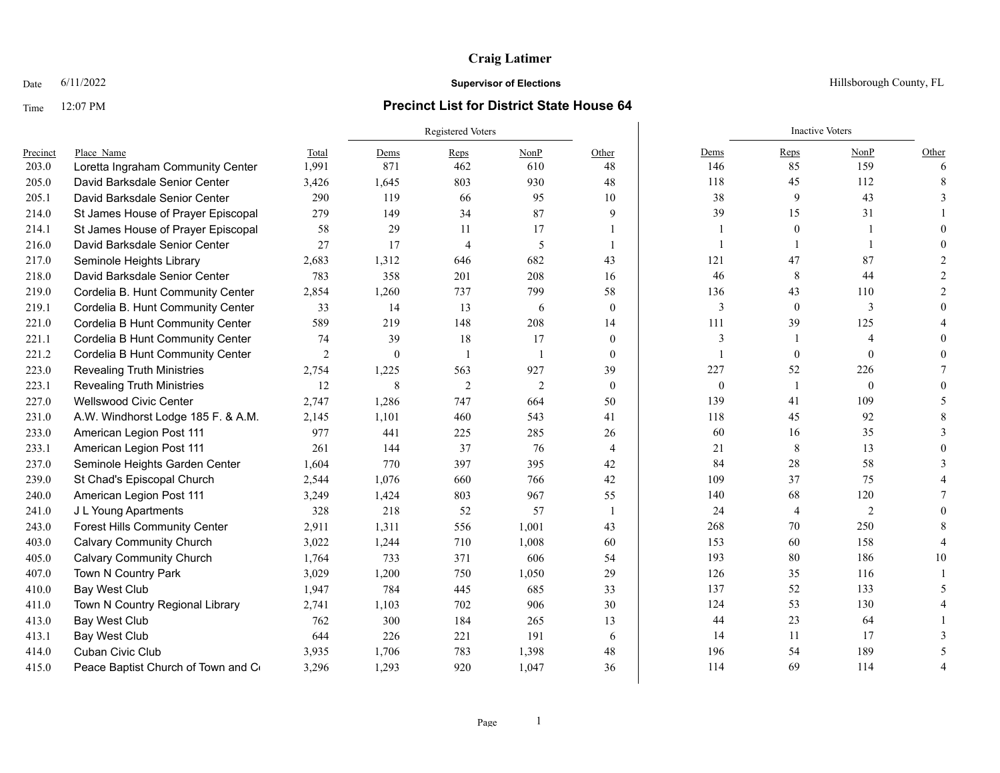# **Craig Latimer**

## Time 12:07 PM **Precinct List for District State House 64**

|          |                                      |                | <b>Registered Voters</b> |                |                |                |              | <b>Inactive Voters</b> |                |       |
|----------|--------------------------------------|----------------|--------------------------|----------------|----------------|----------------|--------------|------------------------|----------------|-------|
| Precinct | Place Name                           | Total          | Dems                     | Reps           | NonP           | Other          | Dems         | Reps                   | NonP           | Other |
| 203.0    | Loretta Ingraham Community Center    | 1,991          | 871                      | 462            | 610            | 48             | 146          | 85                     | 159            | 6     |
| 205.0    | David Barksdale Senior Center        | 3,426          | 1,645                    | 803            | 930            | 48             | 118          | 45                     | 112            |       |
| 205.1    | David Barksdale Senior Center        | 290            | 119                      | 66             | 95             | 10             | 38           | 9                      | 43             |       |
| 214.0    | St James House of Prayer Episcopal   | 279            | 149                      | 34             | 87             | 9              | 39           | 15                     | 31             |       |
| 214.1    | St James House of Prayer Episcopal   | 58             | 29                       | 11             | 17             |                |              | $\mathbf{0}$           |                |       |
| 216.0    | David Barksdale Senior Center        | 27             | 17                       | $\overline{4}$ | 5              |                |              |                        |                |       |
| 217.0    | Seminole Heights Library             | 2,683          | 1,312                    | 646            | 682            | 43             | 121          | 47                     | 87             |       |
| 218.0    | David Barksdale Senior Center        | 783            | 358                      | 201            | 208            | 16             | 46           | 8                      | 44             |       |
| 219.0    | Cordelia B. Hunt Community Center    | 2,854          | 1,260                    | 737            | 799            | 58             | 136          | 43                     | 110            |       |
| 219.1    | Cordelia B. Hunt Community Center    | 33             | 14                       | 13             | 6              | $\theta$       | 3            | $\mathbf{0}$           | 3              |       |
| 221.0    | Cordelia B Hunt Community Center     | 589            | 219                      | 148            | 208            | 14             | 111          | 39                     | 125            |       |
| 221.1    | Cordelia B Hunt Community Center     | 74             | 39                       | 18             | 17             | $\overline{0}$ | 3            |                        | $\overline{4}$ |       |
| 221.2    | Cordelia B Hunt Community Center     | $\overline{2}$ | $\theta$                 | $\overline{1}$ | $\overline{1}$ | $\theta$       | $\mathbf{1}$ | $\mathbf{0}$           | $\mathbf{0}$   |       |
| 223.0    | <b>Revealing Truth Ministries</b>    | 2,754          | 1,225                    | 563            | 927            | 39             | 227          | 52                     | 226            |       |
| 223.1    | <b>Revealing Truth Ministries</b>    | 12             | 8                        | 2              | $\overline{2}$ | $\theta$       | $\mathbf{0}$ |                        | $\mathbf{0}$   |       |
| 227.0    | <b>Wellswood Civic Center</b>        | 2,747          | 1,286                    | 747            | 664            | 50             | 139          | 41                     | 109            |       |
| 231.0    | A.W. Windhorst Lodge 185 F. & A.M.   | 2,145          | 1,101                    | 460            | 543            | 41             | 118          | 45                     | 92             |       |
| 233.0    | American Legion Post 111             | 977            | 441                      | 225            | 285            | 26             | 60           | 16                     | 35             |       |
| 233.1    | American Legion Post 111             | 261            | 144                      | 37             | 76             | $\overline{4}$ | 21           | 8                      | 13             |       |
| 237.0    | Seminole Heights Garden Center       | 1,604          | 770                      | 397            | 395            | 42             | 84           | 28                     | 58             |       |
| 239.0    | St Chad's Episcopal Church           | 2,544          | 1,076                    | 660            | 766            | 42             | 109          | 37                     | 75             |       |
| 240.0    | American Legion Post 111             | 3,249          | 1,424                    | 803            | 967            | 55             | 140          | 68                     | 120            |       |
| 241.0    | J L Young Apartments                 | 328            | 218                      | 52             | 57             | -1             | 24           | 4                      | $\overline{2}$ |       |
| 243.0    | <b>Forest Hills Community Center</b> | 2,911          | 1,311                    | 556            | 1,001          | 43             | 268          | 70                     | 250            |       |
| 403.0    | <b>Calvary Community Church</b>      | 3,022          | 1,244                    | 710            | 1,008          | 60             | 153          | 60                     | 158            |       |
| 405.0    | <b>Calvary Community Church</b>      | 1,764          | 733                      | 371            | 606            | 54             | 193          | 80                     | 186            | 10    |
| 407.0    | Town N Country Park                  | 3,029          | 1,200                    | 750            | 1,050          | 29             | 126          | 35                     | 116            |       |
| 410.0    | Bay West Club                        | 1,947          | 784                      | 445            | 685            | 33             | 137          | 52                     | 133            |       |
| 411.0    | Town N Country Regional Library      | 2,741          | 1,103                    | 702            | 906            | 30             | 124          | 53                     | 130            |       |
| 413.0    | Bay West Club                        | 762            | 300                      | 184            | 265            | 13             | 44           | 23                     | 64             |       |
| 413.1    | Bay West Club                        | 644            | 226                      | 221            | 191            | 6              | 14           | 11                     | 17             |       |
| 414.0    | Cuban Civic Club                     | 3,935          | 1,706                    | 783            | 1,398          | 48             | 196          | 54                     | 189            |       |
| 415.0    | Peace Baptist Church of Town and Co  | 3,296          | 1.293                    | 920            | 1,047          | 36             | 114          | 69                     | 114            |       |

Date  $6/11/2022$  Hillsborough County, FL